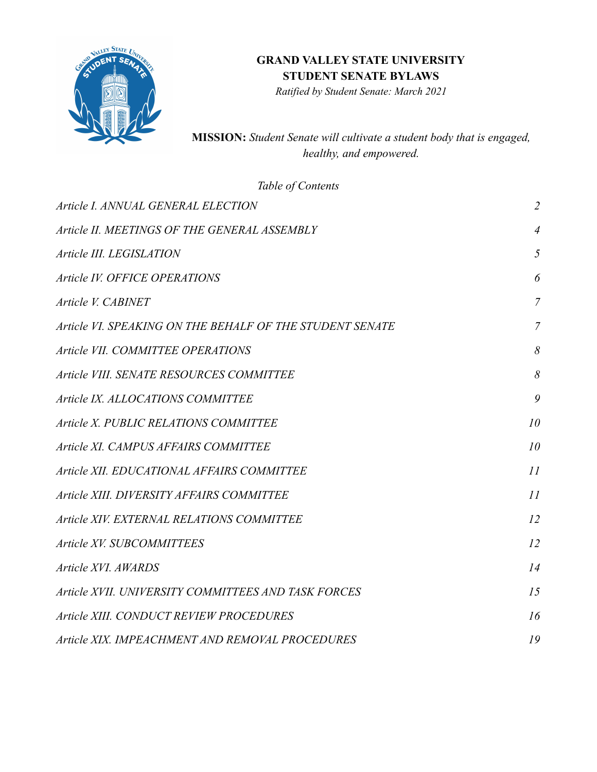

*Ratified by Student Senate: March 2021*

**MISSION:** *Student Senate will cultivate a student body that is engaged, healthy, and empowered.*

<span id="page-0-0"></span>

| Table of Contents                                        |                |
|----------------------------------------------------------|----------------|
| Article I. ANNUAL GENERAL ELECTION                       | $\overline{2}$ |
| Article II. MEETINGS OF THE GENERAL ASSEMBLY             | $\overline{4}$ |
| Article III. LEGISLATION                                 | 5              |
| Article IV. OFFICE OPERATIONS                            | 6              |
| Article V. CABINET                                       | $\overline{7}$ |
| Article VI. SPEAKING ON THE BEHALF OF THE STUDENT SENATE | $\overline{7}$ |
| Article VII. COMMITTEE OPERATIONS                        | 8              |
| Article VIII. SENATE RESOURCES COMMITTEE                 | 8              |
| Article IX. ALLOCATIONS COMMITTEE                        | 9              |
| Article X. PUBLIC RELATIONS COMMITTEE                    | 10             |
| Article XI. CAMPUS AFFAIRS COMMITTEE                     | 10             |
| Article XII. EDUCATIONAL AFFAIRS COMMITTEE               | 11             |
| Article XIII. DIVERSITY AFFAIRS COMMITTEE                | 11             |
| Article XIV. EXTERNAL RELATIONS COMMITTEE                | 12             |
| Article XV. SUBCOMMITTEES                                | 12             |
| Article XVI. AWARDS                                      | 14             |
| Article XVII. UNIVERSITY COMMITTEES AND TASK FORCES      | 15             |
| Article XIII. CONDUCT REVIEW PROCEDURES                  | 16             |
| Article XIX. IMPEACHMENT AND REMOVAL PROCEDURES          | 19             |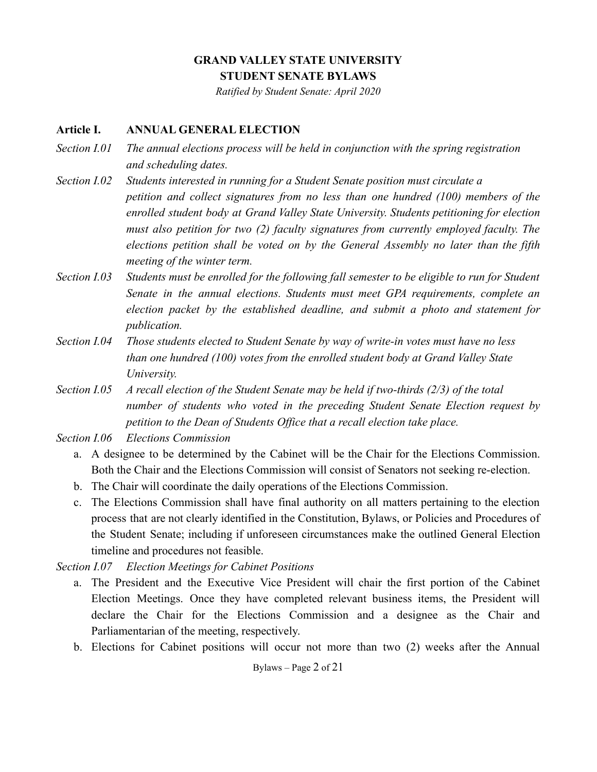*Ratified by Student Senate: April 2020*

#### **Article I. ANNUAL GENERAL ELECTION**

- *Section I.01 The annual elections process will be held in conjunction with the spring registration and scheduling dates.*
- *Section I.02 Students interested in running for a Student Senate position must circulate a petition and collect signatures from no less than one hundred (100) members of the enrolled student body at Grand Valley State University. Students petitioning for election must also petition for two (2) faculty signatures from currently employed faculty. The elections petition shall be voted on by the General Assembly no later than the fifth meeting of the winter term.*
- *Section I.03 Students must be enrolled for the following fall semester to be eligible to run for Student Senate in the annual elections. Students must meet GPA requirements, complete an election packet by the established deadline, and submit a photo and statement for publication.*
- *Section I.04 Those students elected to Student Senate by way of write-in votes must have no less than one hundred (100) votes from the enrolled student body at Grand Valley State University.*
- *Section I.05 A recall election of the Student Senate may be held if two-thirds (2/3) of the total number of students who voted in the preceding Student Senate Election request by petition to the Dean of Students Office that a recall election take place.*

*Section I.06 Elections Commission*

- a. A designee to be determined by the Cabinet will be the Chair for the Elections Commission. Both the Chair and the Elections Commission will consist of Senators not seeking re-election.
- b. The Chair will coordinate the daily operations of the Elections Commission.
- c. The Elections Commission shall have final authority on all matters pertaining to the election process that are not clearly identified in the Constitution, Bylaws, or Policies and Procedures of the Student Senate; including if unforeseen circumstances make the outlined General Election timeline and procedures not feasible.

*Section I.07 Election Meetings for Cabinet Positions*

- a. The President and the Executive Vice President will chair the first portion of the Cabinet Election Meetings. Once they have completed relevant business items, the President will declare the Chair for the Elections Commission and a designee as the Chair and Parliamentarian of the meeting, respectively.
- b. Elections for Cabinet positions will occur not more than two (2) weeks after the Annual

Bylaws – Page 2 of 21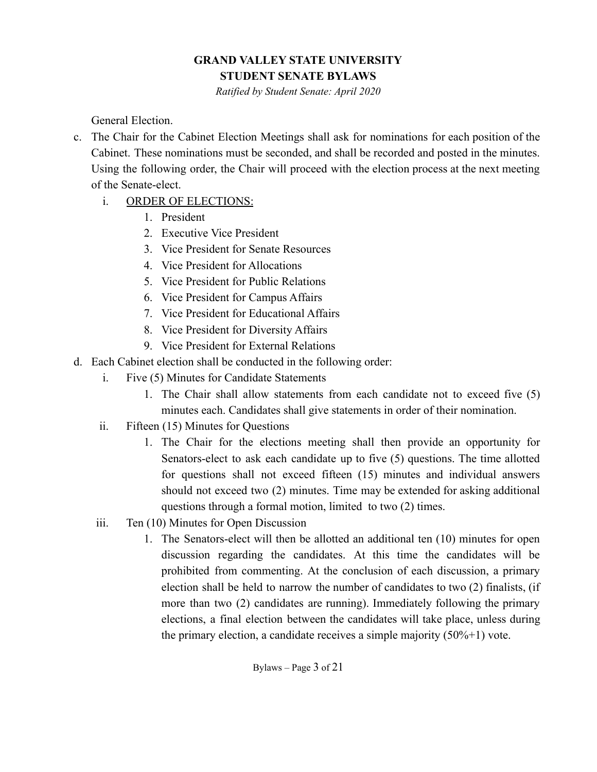*Ratified by Student Senate: April 2020*

General Election.

- c. The Chair for the Cabinet Election Meetings shall ask for nominations for each position of the Cabinet. These nominations must be seconded, and shall be recorded and posted in the minutes. Using the following order, the Chair will proceed with the election process at the next meeting of the Senate-elect.
	- i. ORDER OF ELECTIONS:
		- 1. President
		- 2. Executive Vice President
		- 3. Vice President for Senate Resources
		- 4. Vice President for Allocations
		- 5. Vice President for Public Relations
		- 6. Vice President for Campus Affairs
		- 7. Vice President for Educational Affairs
		- 8. Vice President for Diversity Affairs
		- 9. Vice President for External Relations
- d. Each Cabinet election shall be conducted in the following order:
	- i. Five (5) Minutes for Candidate Statements
		- 1. The Chair shall allow statements from each candidate not to exceed five (5) minutes each. Candidates shall give statements in order of their nomination.
	- ii. Fifteen (15) Minutes for Questions
		- 1. The Chair for the elections meeting shall then provide an opportunity for Senators-elect to ask each candidate up to five (5) questions. The time allotted for questions shall not exceed fifteen (15) minutes and individual answers should not exceed two (2) minutes. Time may be extended for asking additional questions through a formal motion, limited to two (2) times.
	- iii. Ten (10) Minutes for Open Discussion
		- 1. The Senators-elect will then be allotted an additional ten (10) minutes for open discussion regarding the candidates. At this time the candidates will be prohibited from commenting. At the conclusion of each discussion, a primary election shall be held to narrow the number of candidates to two (2) finalists, (if more than two (2) candidates are running). Immediately following the primary elections, a final election between the candidates will take place, unless during the primary election, a candidate receives a simple majority  $(50\% + 1)$  vote.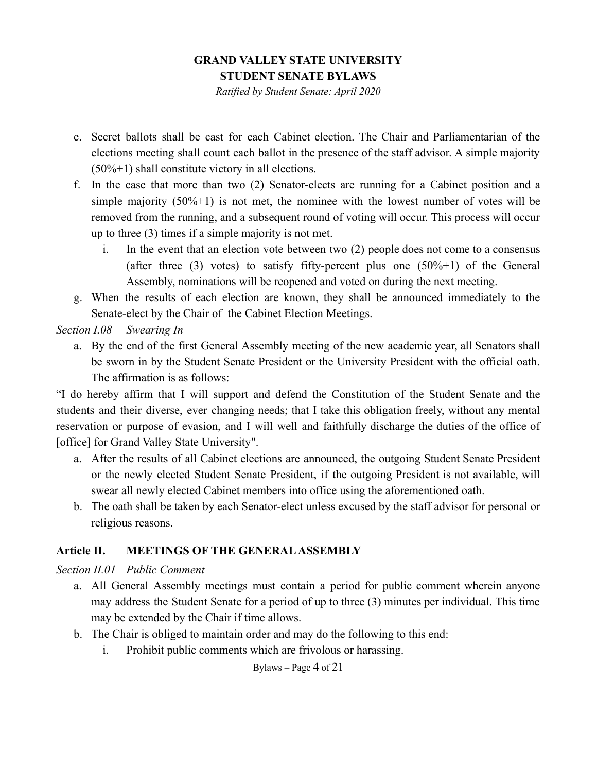*Ratified by Student Senate: April 2020*

- e. Secret ballots shall be cast for each Cabinet election. The Chair and Parliamentarian of the elections meeting shall count each ballot in the presence of the staff advisor. A simple majority  $(50\% + 1)$  shall constitute victory in all elections.
- f. In the case that more than two (2) Senator-elects are running for a Cabinet position and a simple majority  $(50\% + 1)$  is not met, the nominee with the lowest number of votes will be removed from the running, and a subsequent round of voting will occur. This process will occur up to three (3) times if a simple majority is not met.
	- i. In the event that an election vote between two (2) people does not come to a consensus (after three (3) votes) to satisfy fifty-percent plus one  $(50\% + 1)$  of the General Assembly, nominations will be reopened and voted on during the next meeting.
- g. When the results of each election are known, they shall be announced immediately to the Senate-elect by the Chair of the Cabinet Election Meetings.

*Section I.08 Swearing In*

a. By the end of the first General Assembly meeting of the new academic year, all Senators shall be sworn in by the Student Senate President or the University President with the official oath. The affirmation is as follows:

"I do hereby affirm that I will support and defend the Constitution of the Student Senate and the students and their diverse, ever changing needs; that I take this obligation freely, without any mental reservation or purpose of evasion, and I will well and faithfully discharge the duties of the office of [office] for Grand Valley State University".

- a. After the results of all Cabinet elections are announced, the outgoing Student Senate President or the newly elected Student Senate President, if the outgoing President is not available, will swear all newly elected Cabinet members into office using the aforementioned oath.
- b. The oath shall be taken by each Senator-elect unless excused by the staff advisor for personal or religious reasons.

### <span id="page-3-0"></span>**Article II. MEETINGS OF THE GENERAL ASSEMBLY**

### *Section II.01 Public Comment*

- a. All General Assembly meetings must contain a period for public comment wherein anyone may address the Student Senate for a period of up to three (3) minutes per individual. This time may be extended by the Chair if time allows.
- b. The Chair is obliged to maintain order and may do the following to this end:
	- i. Prohibit public comments which are frivolous or harassing.

### Bylaws – Page 4 of 21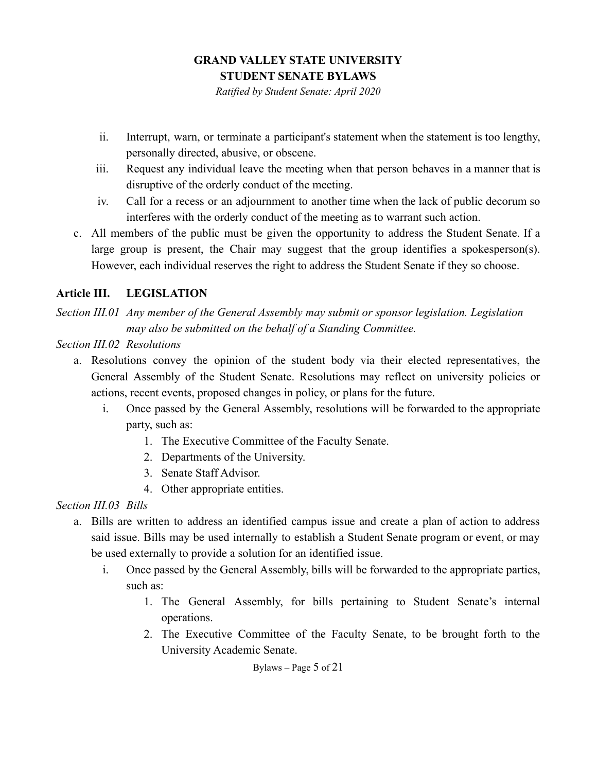*Ratified by Student Senate: April 2020*

- ii. Interrupt, warn, or terminate a participant's statement when the statement is too lengthy, personally directed, abusive, or obscene.
- iii. Request any individual leave the meeting when that person behaves in a manner that is disruptive of the orderly conduct of the meeting.
- iv. Call for a recess or an adjournment to another time when the lack of public decorum so interferes with the orderly conduct of the meeting as to warrant such action.
- c. All members of the public must be given the opportunity to address the Student Senate. If a large group is present, the Chair may suggest that the group identifies a spokesperson(s). However, each individual reserves the right to address the Student Senate if they so choose.

### <span id="page-4-0"></span>**Article III. LEGISLATION**

*Section III.01 Any member of the General Assembly may submit or sponsor legislation. Legislation may also be submitted on the behalf of a Standing Committee.*

#### *Section III.02 Resolutions*

- a. Resolutions convey the opinion of the student body via their elected representatives, the General Assembly of the Student Senate. Resolutions may reflect on university policies or actions, recent events, proposed changes in policy, or plans for the future.
	- i. Once passed by the General Assembly, resolutions will be forwarded to the appropriate party, such as:
		- 1. The Executive Committee of the Faculty Senate.
		- 2. Departments of the University.
		- 3. Senate Staff Advisor.
		- 4. Other appropriate entities.

### *Section III.03 Bills*

- a. Bills are written to address an identified campus issue and create a plan of action to address said issue. Bills may be used internally to establish a Student Senate program or event, or may be used externally to provide a solution for an identified issue.
	- i. Once passed by the General Assembly, bills will be forwarded to the appropriate parties, such as:
		- 1. The General Assembly, for bills pertaining to Student Senate's internal operations.
		- 2. The Executive Committee of the Faculty Senate, to be brought forth to the University Academic Senate.

Bylaws – Page 5 of 21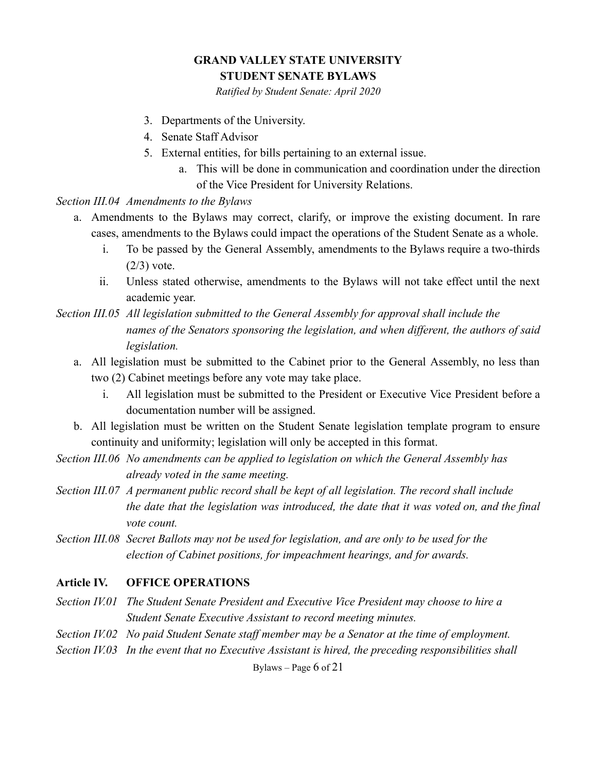*Ratified by Student Senate: April 2020*

- 3. Departments of the University.
- 4. Senate Staff Advisor
- 5. External entities, for bills pertaining to an external issue.
	- a. This will be done in communication and coordination under the direction of the Vice President for University Relations.

*Section III.04 Amendments to the Bylaws*

- a. Amendments to the Bylaws may correct, clarify, or improve the existing document. In rare cases, amendments to the Bylaws could impact the operations of the Student Senate as a whole.
	- i. To be passed by the General Assembly, amendments to the Bylaws require a two-thirds  $(2/3)$  vote.
	- ii. Unless stated otherwise, amendments to the Bylaws will not take effect until the next academic year.

*Section III.05 All legislation submitted to the General Assembly for approval shall include the names of the Senators sponsoring the legislation, and when different, the authors of said legislation.*

- a. All legislation must be submitted to the Cabinet prior to the General Assembly, no less than two (2) Cabinet meetings before any vote may take place.
	- i. All legislation must be submitted to the President or Executive Vice President before a documentation number will be assigned.
- b. All legislation must be written on the Student Senate legislation template program to ensure continuity and uniformity; legislation will only be accepted in this format.
- *Section III.06 No amendments can be applied to legislation on which the General Assembly has already voted in the same meeting.*
- *Section III.07 A permanent public record shall be kept of all legislation. The record shall include the date that the legislation was introduced, the date that it was voted on, and the final vote count.*
- *Section III.08 Secret Ballots may not be used for legislation, and are only to be used for the election of Cabinet positions, for impeachment hearings, and for awards.*

#### <span id="page-5-0"></span>**Article IV. OFFICE OPERATIONS**

- *Section IV.01 The Student Senate President and Executive Vice President may choose to hire a Student Senate Executive Assistant to record meeting minutes.*
- *Section IV.02 No paid Student Senate staff member may be a Senator at the time of employment.*
- *Section IV.03 In the event that no Executive Assistant is hired, the preceding responsibilities shall*

Bylaws – Page 6 of 21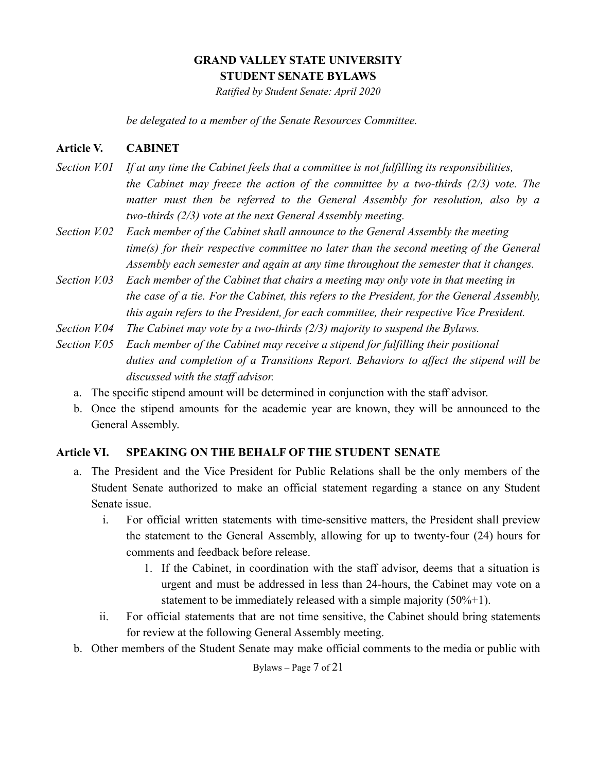*Ratified by Student Senate: April 2020*

*be delegated to a member of the Senate Resources Committee.*

#### <span id="page-6-0"></span>**Article V. CABINET**

- *Section V.01 If at any time the Cabinet feels that a committee is not fulfilling its responsibilities, the Cabinet may freeze the action of the committee by a two-thirds (2/3) vote. The matter must then be referred to the General Assembly for resolution, also by a two-thirds (2/3) vote at the next General Assembly meeting.*
- *Section V.02 Each member of the Cabinet shall announce to the General Assembly the meeting time(s) for their respective committee no later than the second meeting of the General Assembly each semester and again at any time throughout the semester that it changes.*
- *Section V.03 Each member of the Cabinet that chairs a meeting may only vote in that meeting in the case of a tie. For the Cabinet, this refers to the President, for the General Assembly, this again refers to the President, for each committee, their respective Vice President.*
- *Section V.04 The Cabinet may vote by a two-thirds (2/3) majority to suspend the Bylaws.*
- *Section V.05 Each member of the Cabinet may receive a stipend for fulfilling their positional duties and completion of a Transitions Report. Behaviors to affect the stipend will be discussed with the staff advisor.*
	- a. The specific stipend amount will be determined in conjunction with the staff advisor.
	- b. Once the stipend amounts for the academic year are known, they will be announced to the General Assembly.

#### <span id="page-6-1"></span>**Article VI. SPEAKING ON THE BEHALF OF THE STUDENT SENATE**

- a. The President and the Vice President for Public Relations shall be the only members of the Student Senate authorized to make an official statement regarding a stance on any Student Senate issue.
	- i. For official written statements with time-sensitive matters, the President shall preview the statement to the General Assembly, allowing for up to twenty-four (24) hours for comments and feedback before release.
		- 1. If the Cabinet, in coordination with the staff advisor, deems that a situation is urgent and must be addressed in less than 24-hours, the Cabinet may vote on a statement to be immediately released with a simple majority (50%+1).
	- ii. For official statements that are not time sensitive, the Cabinet should bring statements for review at the following General Assembly meeting.
- b. Other members of the Student Senate may make official comments to the media or public with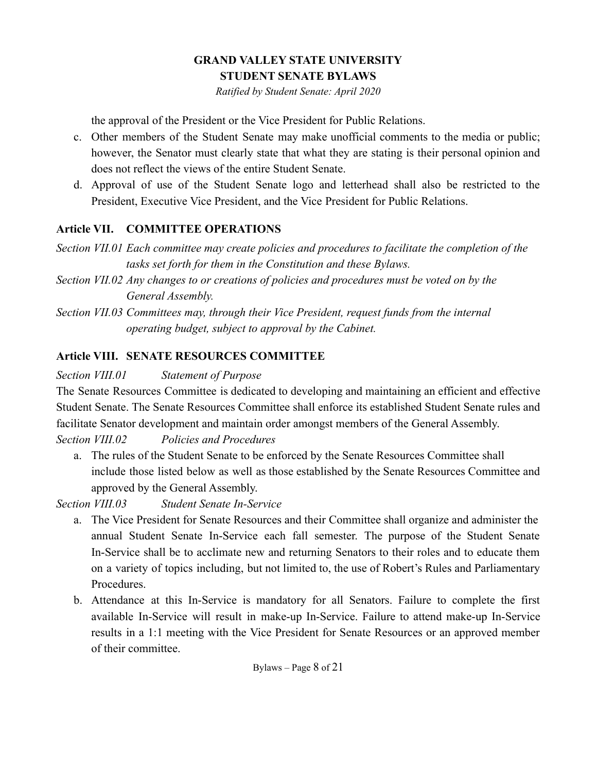*Ratified by Student Senate: April 2020*

the approval of the President or the Vice President for Public Relations.

- c. Other members of the Student Senate may make unofficial comments to the media or public; however, the Senator must clearly state that what they are stating is their personal opinion and does not reflect the views of the entire Student Senate.
- d. Approval of use of the Student Senate logo and letterhead shall also be restricted to the President, Executive Vice President, and the Vice President for Public Relations.

### <span id="page-7-0"></span>**Article VII. COMMITTEE OPERATIONS**

*Section VII.01 Each committee may create policies and procedures to facilitate the completion of the tasks set forth for them in the Constitution and these Bylaws.*

- *Section VII.02 Any changes to or creations of policies and procedures must be voted on by the General Assembly.*
- *Section VII.03 Committees may, through their Vice President, request funds from the internal operating budget, subject to approval by the Cabinet.*

# <span id="page-7-1"></span>**Article VIII. SENATE RESOURCES COMMITTEE**

*Section VIII.01 Statement of Purpose*

The Senate Resources Committee is dedicated to developing and maintaining an efficient and effective Student Senate. The Senate Resources Committee shall enforce its established Student Senate rules and facilitate Senator development and maintain order amongst members of the General Assembly.

### *Section VIII.02 Policies and Procedures*

a. The rules of the Student Senate to be enforced by the Senate Resources Committee shall include those listed below as well as those established by the Senate Resources Committee and approved by the General Assembly.

*Section VIII.03 Student Senate In-Service*

- a. The Vice President for Senate Resources and their Committee shall organize and administer the annual Student Senate In-Service each fall semester. The purpose of the Student Senate In-Service shall be to acclimate new and returning Senators to their roles and to educate them on a variety of topics including, but not limited to, the use of Robert's Rules and Parliamentary Procedures.
- b. Attendance at this In-Service is mandatory for all Senators. Failure to complete the first available In-Service will result in make-up In-Service. Failure to attend make-up In-Service results in a 1:1 meeting with the Vice President for Senate Resources or an approved member of their committee.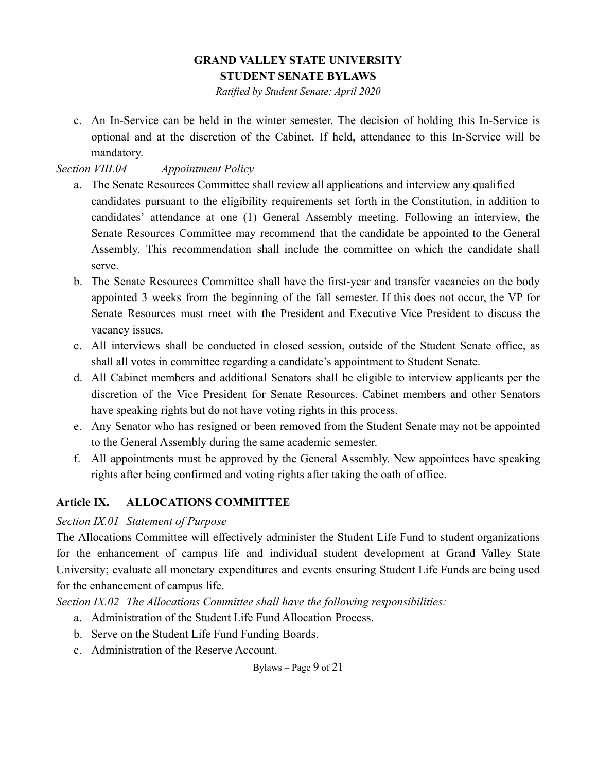*Ratified by Student Senate: April 2020*

c. An In-Service can be held in the winter semester. The decision of holding this In-Service is optional and at the discretion of the Cabinet. If held, attendance to this In-Service will be mandatory.

### *Section VIII.04 Appointment Policy*

- a. The Senate Resources Committee shall review all applications and interview any qualified candidates pursuant to the eligibility requirements set forth in the Constitution, in addition to candidates' attendance at one (1) General Assembly meeting. Following an interview, the Senate Resources Committee may recommend that the candidate be appointed to the General Assembly. This recommendation shall include the committee on which the candidate shall serve.
- b. The Senate Resources Committee shall have the first-year and transfer vacancies on the body appointed 3 weeks from the beginning of the fall semester. If this does not occur, the VP for Senate Resources must meet with the President and Executive Vice President to discuss the vacancy issues.
- c. All interviews shall be conducted in closed session, outside of the Student Senate office, as shall all votes in committee regarding a candidate's appointment to Student Senate.
- d. All Cabinet members and additional Senators shall be eligible to interview applicants per the discretion of the Vice President for Senate Resources. Cabinet members and other Senators have speaking rights but do not have voting rights in this process.
- e. Any Senator who has resigned or been removed from the Student Senate may not be appointed to the General Assembly during the same academic semester.
- f. All appointments must be approved by the General Assembly. New appointees have speaking rights after being confirmed and voting rights after taking the oath of office.

### <span id="page-8-0"></span>**Article IX. ALLOCATIONS COMMITTEE**

#### *Section IX.01 Statement of Purpose*

The Allocations Committee will effectively administer the Student Life Fund to student organizations for the enhancement of campus life and individual student development at Grand Valley State University; evaluate all monetary expenditures and events ensuring Student Life Funds are being used for the enhancement of campus life.

*Section IX.02 The Allocations Committee shall have the following responsibilities:*

- a. Administration of the Student Life Fund Allocation Process.
- b. Serve on the Student Life Fund Funding Boards.
- c. Administration of the Reserve Account.

Bylaws – Page 9 of 21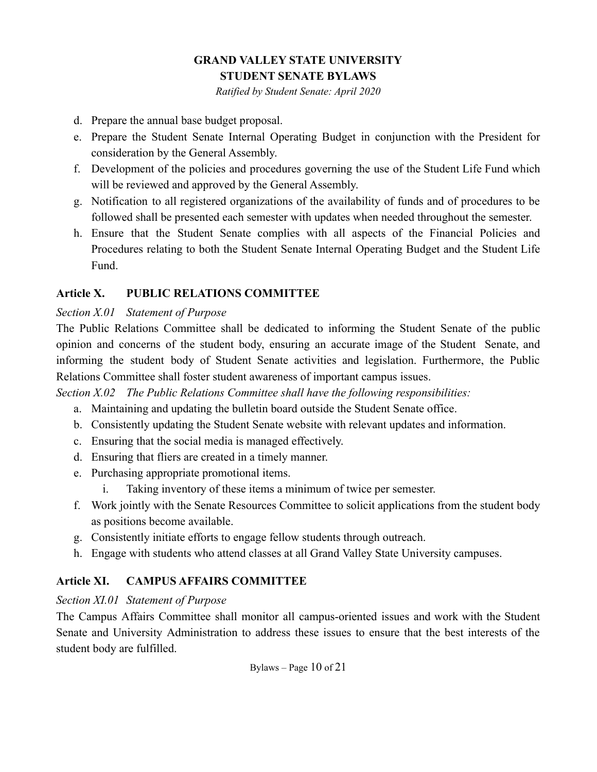*Ratified by Student Senate: April 2020*

- d. Prepare the annual base budget proposal.
- e. Prepare the Student Senate Internal Operating Budget in conjunction with the President for consideration by the General Assembly.
- f. Development of the policies and procedures governing the use of the Student Life Fund which will be reviewed and approved by the General Assembly.
- g. Notification to all registered organizations of the availability of funds and of procedures to be followed shall be presented each semester with updates when needed throughout the semester.
- h. Ensure that the Student Senate complies with all aspects of the Financial Policies and Procedures relating to both the Student Senate Internal Operating Budget and the Student Life Fund.

#### <span id="page-9-0"></span>**Article X. PUBLIC RELATIONS COMMITTEE**

#### *Section X.01 Statement of Purpose*

The Public Relations Committee shall be dedicated to informing the Student Senate of the public opinion and concerns of the student body, ensuring an accurate image of the Student Senate, and informing the student body of Student Senate activities and legislation. Furthermore, the Public Relations Committee shall foster student awareness of important campus issues.

*Section X.02 The Public Relations Committee shall have the following responsibilities:*

- a. Maintaining and updating the bulletin board outside the Student Senate office.
- b. Consistently updating the Student Senate website with relevant updates and information.
- c. Ensuring that the social media is managed effectively.
- d. Ensuring that fliers are created in a timely manner.
- e. Purchasing appropriate promotional items.
	- i. Taking inventory of these items a minimum of twice per semester.
- f. Work jointly with the Senate Resources Committee to solicit applications from the student body as positions become available.
- g. Consistently initiate efforts to engage fellow students through outreach.
- h. Engage with students who attend classes at all Grand Valley State University campuses.

### <span id="page-9-1"></span>**Article XI. CAMPUS AFFAIRS COMMITTEE**

#### *Section XI.01 Statement of Purpose*

The Campus Affairs Committee shall monitor all campus-oriented issues and work with the Student Senate and University Administration to address these issues to ensure that the best interests of the student body are fulfilled.

Bylaws – Page 10 of 21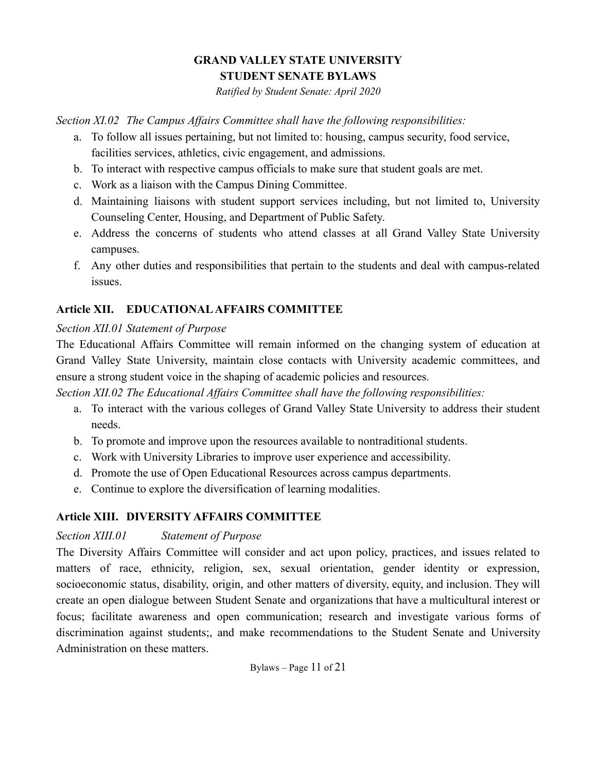*Ratified by Student Senate: April 2020*

*Section XI.02 The Campus Affairs Committee shall have the following responsibilities:*

- a. To follow all issues pertaining, but not limited to: housing, campus security, food service, facilities services, athletics, civic engagement, and admissions.
- b. To interact with respective campus officials to make sure that student goals are met.
- c. Work as a liaison with the Campus Dining Committee.
- d. Maintaining liaisons with student support services including, but not limited to, University Counseling Center, Housing, and Department of Public Safety.
- e. Address the concerns of students who attend classes at all Grand Valley State University campuses.
- f. Any other duties and responsibilities that pertain to the students and deal with campus-related issues.

# <span id="page-10-0"></span>**Article XII. EDUCATIONALAFFAIRS COMMITTEE**

#### *Section XII.01 Statement of Purpose*

The Educational Affairs Committee will remain informed on the changing system of education at Grand Valley State University, maintain close contacts with University academic committees, and ensure a strong student voice in the shaping of academic policies and resources.

*Section XII.02 The Educational Affairs Committee shall have the following responsibilities:*

- a. To interact with the various colleges of Grand Valley State University to address their student needs.
- b. To promote and improve upon the resources available to nontraditional students.
- c. Work with University Libraries to improve user experience and accessibility.
- d. Promote the use of Open Educational Resources across campus departments.
- e. Continue to explore the diversification of learning modalities.

### <span id="page-10-1"></span>**Article XIII. DIVERSITY AFFAIRS COMMITTEE**

#### *Section XIII.01 Statement of Purpose*

The Diversity Affairs Committee will consider and act upon policy, practices, and issues related to matters of race, ethnicity, religion, sex, sexual orientation, gender identity or expression, socioeconomic status, disability, origin, and other matters of diversity, equity, and inclusion. They will create an open dialogue between Student Senate and organizations that have a multicultural interest or focus; facilitate awareness and open communication; research and investigate various forms of discrimination against students;, and make recommendations to the Student Senate and University Administration on these matters.

Bylaws – Page 11 of 21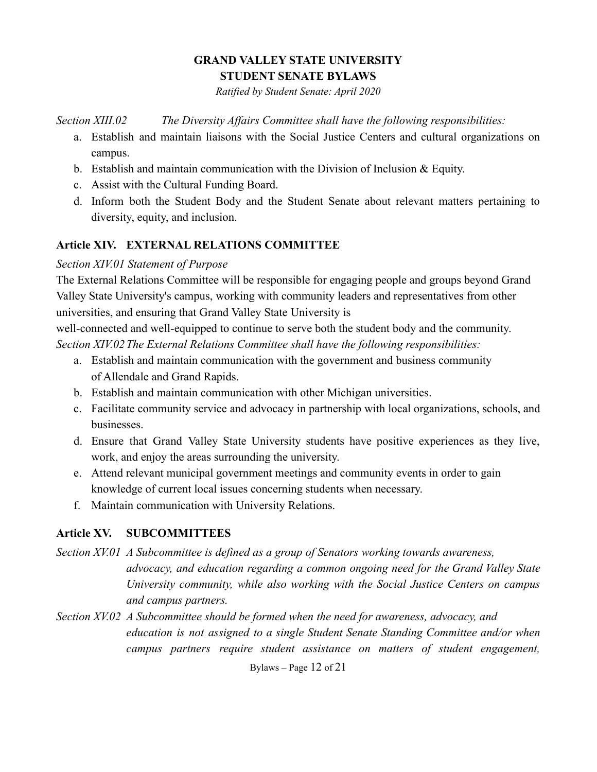*Ratified by Student Senate: April 2020*

*Section XIII.02 The Diversity Affairs Committee shall have the following responsibilities:*

- a. Establish and maintain liaisons with the Social Justice Centers and cultural organizations on campus.
- b. Establish and maintain communication with the Division of Inclusion  $\&$  Equity.
- c. Assist with the Cultural Funding Board.
- d. Inform both the Student Body and the Student Senate about relevant matters pertaining to diversity, equity, and inclusion.

#### <span id="page-11-0"></span>**Article XIV. EXTERNAL RELATIONS COMMITTEE**

#### *Section XIV.01 Statement of Purpose*

The External Relations Committee will be responsible for engaging people and groups beyond Grand Valley State University's campus, working with community leaders and representatives from other universities, and ensuring that Grand Valley State University is

well-connected and well-equipped to continue to serve both the student body and the community. *Section XIV.02The External Relations Committee shall have the following responsibilities:*

- a. Establish and maintain communication with the government and business community of Allendale and Grand Rapids.
- b. Establish and maintain communication with other Michigan universities.
- c. Facilitate community service and advocacy in partnership with local organizations, schools, and businesses.
- d. Ensure that Grand Valley State University students have positive experiences as they live, work, and enjoy the areas surrounding the university.
- e. Attend relevant municipal government meetings and community events in order to gain knowledge of current local issues concerning students when necessary.
- f. Maintain communication with University Relations.

### <span id="page-11-1"></span>**Article XV. SUBCOMMITTEES**

*Section XV.01 A Subcommittee is defined as a group of Senators working towards awareness, advocacy, and education regarding a common ongoing need for the Grand Valley State University community, while also working with the Social Justice Centers on campus and campus partners.*

*Section XV.02 A Subcommittee should be formed when the need for awareness, advocacy, and education is not assigned to a single Student Senate Standing Committee and/or when campus partners require student assistance on matters of student engagement,*

Bylaws – Page 12 of 21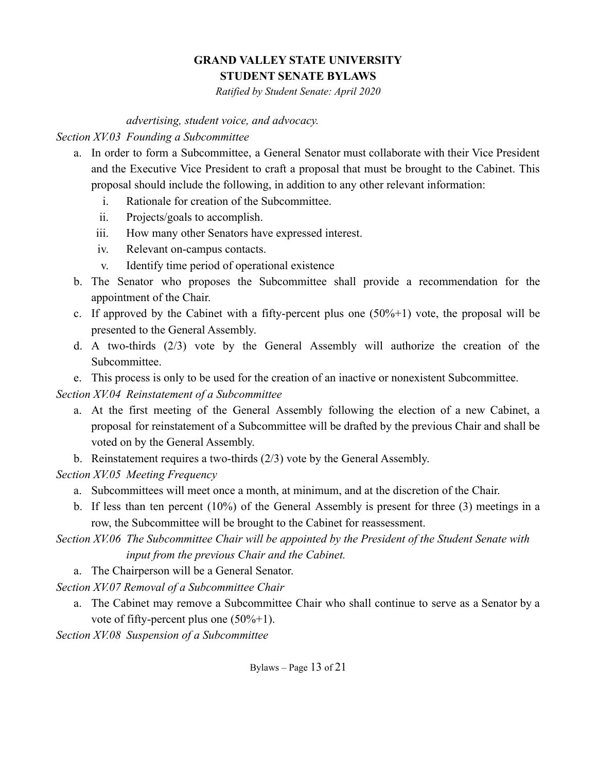*Ratified by Student Senate: April 2020*

*advertising, student voice, and advocacy.*

*Section XV.03 Founding a Subcommittee*

- a. In order to form a Subcommittee, a General Senator must collaborate with their Vice President and the Executive Vice President to craft a proposal that must be brought to the Cabinet. This proposal should include the following, in addition to any other relevant information:
	- i. Rationale for creation of the Subcommittee.
	- ii. Projects/goals to accomplish.
	- iii. How many other Senators have expressed interest.
	- iv. Relevant on-campus contacts.
	- v. Identify time period of operational existence
- b. The Senator who proposes the Subcommittee shall provide a recommendation for the appointment of the Chair.
- c. If approved by the Cabinet with a fifty-percent plus one  $(50\% + 1)$  vote, the proposal will be presented to the General Assembly.
- d. A two-thirds (2/3) vote by the General Assembly will authorize the creation of the Subcommittee.
- e. This process is only to be used for the creation of an inactive or nonexistent Subcommittee.

*Section XV.04 Reinstatement of a Subcommittee*

- a. At the first meeting of the General Assembly following the election of a new Cabinet, a proposal for reinstatement of a Subcommittee will be drafted by the previous Chair and shall be voted on by the General Assembly.
- b. Reinstatement requires a two-thirds (2/3) vote by the General Assembly.

*Section XV.05 Meeting Frequency*

- a. Subcommittees will meet once a month, at minimum, and at the discretion of the Chair.
- b. If less than ten percent (10%) of the General Assembly is present for three (3) meetings in a row, the Subcommittee will be brought to the Cabinet for reassessment.
- *Section XV.06 The Subcommittee Chair will be appointed by the President of the Student Senate with input from the previous Chair and the Cabinet.*
	- a. The Chairperson will be a General Senator.

*Section XV.07 Removal of a Subcommittee Chair*

a. The Cabinet may remove a Subcommittee Chair who shall continue to serve as a Senator by a vote of fifty-percent plus one  $(50\% + 1)$ .

*Section XV.08 Suspension of a Subcommittee*

Bylaws – Page 13 of 21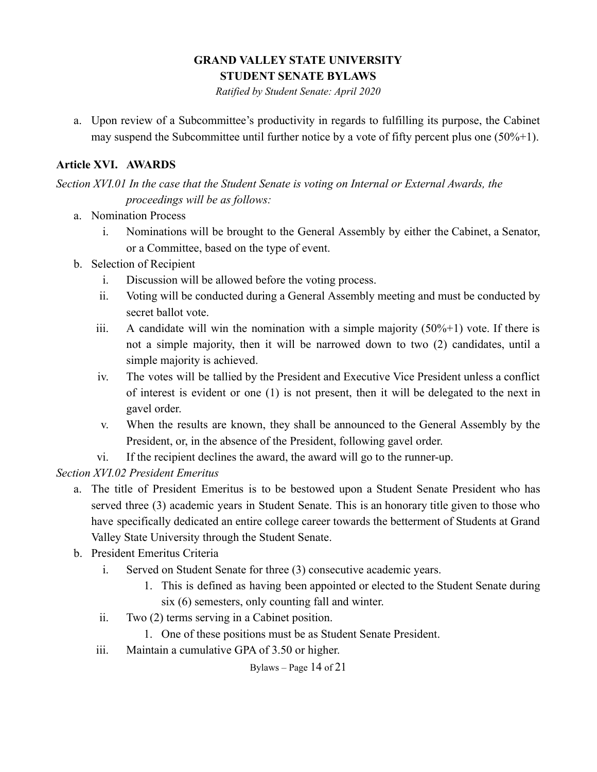*Ratified by Student Senate: April 2020*

a. Upon review of a Subcommittee's productivity in regards to fulfilling its purpose, the Cabinet may suspend the Subcommittee until further notice by a vote of fifty percent plus one  $(50\% + 1)$ .

# <span id="page-13-0"></span>**Article XVI. AWARDS**

*Section XVI.01 In the case that the Student Senate is voting on Internal or External Awards, the proceedings will be as follows:*

- a. Nomination Process
	- i. Nominations will be brought to the General Assembly by either the Cabinet, a Senator, or a Committee, based on the type of event.
- b. Selection of Recipient
	- i. Discussion will be allowed before the voting process.
	- ii. Voting will be conducted during a General Assembly meeting and must be conducted by secret ballot vote.
	- iii. A candidate will win the nomination with a simple majority  $(50\% + 1)$  vote. If there is not a simple majority, then it will be narrowed down to two (2) candidates, until a simple majority is achieved.
	- iv. The votes will be tallied by the President and Executive Vice President unless a conflict of interest is evident or one (1) is not present, then it will be delegated to the next in gavel order.
	- v. When the results are known, they shall be announced to the General Assembly by the President, or, in the absence of the President, following gavel order.
	- vi. If the recipient declines the award, the award will go to the runner-up.

*Section XVI.02 President Emeritus*

- a. The title of President Emeritus is to be bestowed upon a Student Senate President who has served three (3) academic years in Student Senate. This is an honorary title given to those who have specifically dedicated an entire college career towards the betterment of Students at Grand Valley State University through the Student Senate.
- b. President Emeritus Criteria
	- i. Served on Student Senate for three (3) consecutive academic years.
		- 1. This is defined as having been appointed or elected to the Student Senate during six (6) semesters, only counting fall and winter.
	- ii. Two (2) terms serving in a Cabinet position.
		- 1. One of these positions must be as Student Senate President.
	- iii. Maintain a cumulative GPA of 3.50 or higher.

Bylaws – Page 14 of 21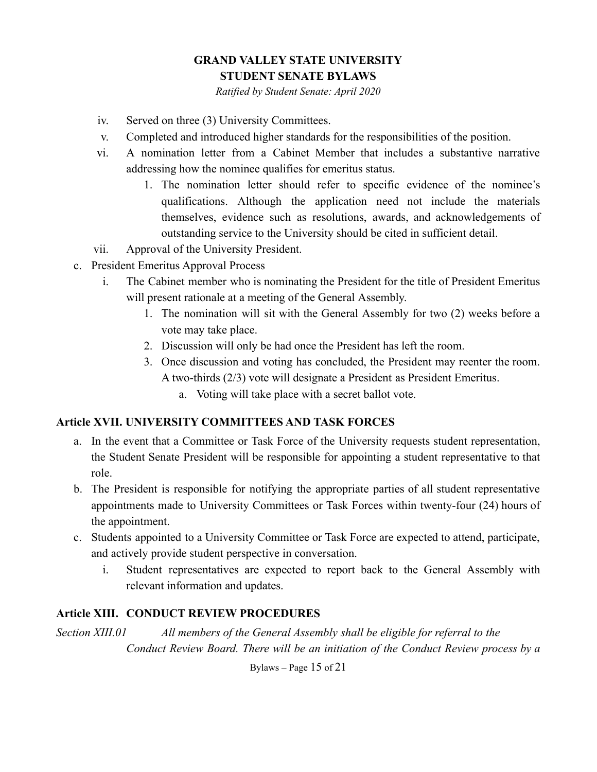*Ratified by Student Senate: April 2020*

- iv. Served on three (3) University Committees.
- v. Completed and introduced higher standards for the responsibilities of the position.
- vi. A nomination letter from a Cabinet Member that includes a substantive narrative addressing how the nominee qualifies for emeritus status.
	- 1. The nomination letter should refer to specific evidence of the nominee's qualifications. Although the application need not include the materials themselves, evidence such as resolutions, awards, and acknowledgements of outstanding service to the University should be cited in sufficient detail.
- vii. Approval of the University President.
- c. President Emeritus Approval Process
	- i. The Cabinet member who is nominating the President for the title of President Emeritus will present rationale at a meeting of the General Assembly.
		- 1. The nomination will sit with the General Assembly for two (2) weeks before a vote may take place.
		- 2. Discussion will only be had once the President has left the room.
		- 3. Once discussion and voting has concluded, the President may reenter the room. A two-thirds (2/3) vote will designate a President as President Emeritus.
			- a. Voting will take place with a secret ballot vote.

#### <span id="page-14-0"></span>**Article XVII. UNIVERSITY COMMITTEES AND TASK FORCES**

- a. In the event that a Committee or Task Force of the University requests student representation, the Student Senate President will be responsible for appointing a student representative to that role.
- b. The President is responsible for notifying the appropriate parties of all student representative appointments made to University Committees or Task Forces within twenty-four (24) hours of the appointment.
- c. Students appointed to a University Committee or Task Force are expected to attend, participate, and actively provide student perspective in conversation.
	- i. Student representatives are expected to report back to the General Assembly with relevant information and updates.

#### <span id="page-14-1"></span>**Article XIII. CONDUCT REVIEW PROCEDURES**

*Section XIII.01 All members of the General Assembly shall be eligible for referral to the Conduct Review Board. There will be an initiation of the Conduct Review process by a*

Bylaws – Page 15 of 21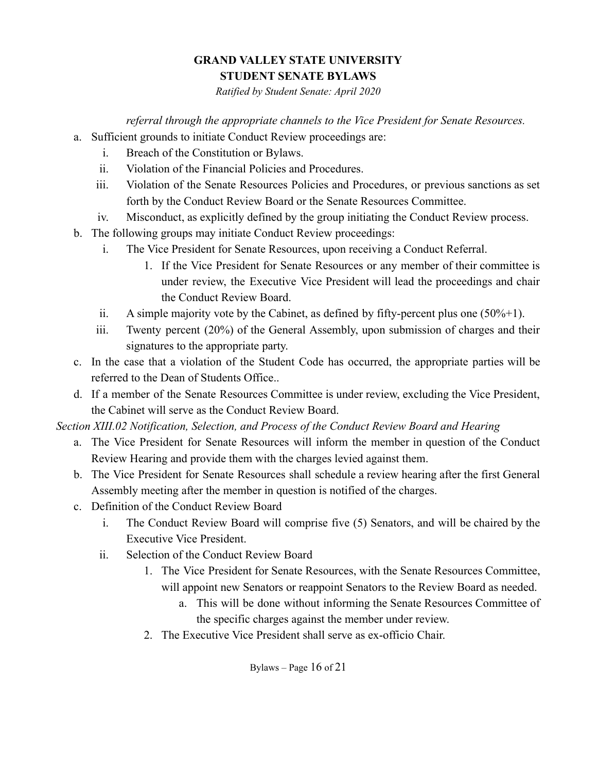*Ratified by Student Senate: April 2020*

*referral through the appropriate channels to the Vice President for Senate Resources.*

- a. Sufficient grounds to initiate Conduct Review proceedings are:
	- i. Breach of the Constitution or Bylaws.
	- ii. Violation of the Financial Policies and Procedures.
	- iii. Violation of the Senate Resources Policies and Procedures, or previous sanctions as set forth by the Conduct Review Board or the Senate Resources Committee.
	- iv. Misconduct, as explicitly defined by the group initiating the Conduct Review process.
- b. The following groups may initiate Conduct Review proceedings:
	- i. The Vice President for Senate Resources, upon receiving a Conduct Referral.
		- 1. If the Vice President for Senate Resources or any member of their committee is under review, the Executive Vice President will lead the proceedings and chair the Conduct Review Board.
	- ii. A simple majority vote by the Cabinet, as defined by fifty-percent plus one  $(50\% + 1)$ .
	- iii. Twenty percent (20%) of the General Assembly, upon submission of charges and their signatures to the appropriate party.
- c. In the case that a violation of the Student Code has occurred, the appropriate parties will be referred to the Dean of Students Office..
- d. If a member of the Senate Resources Committee is under review, excluding the Vice President, the Cabinet will serve as the Conduct Review Board.

*Section XIII.02 Notification, Selection, and Process of the Conduct Review Board and Hearing*

- a. The Vice President for Senate Resources will inform the member in question of the Conduct Review Hearing and provide them with the charges levied against them.
- b. The Vice President for Senate Resources shall schedule a review hearing after the first General Assembly meeting after the member in question is notified of the charges.
- c. Definition of the Conduct Review Board
	- i. The Conduct Review Board will comprise five (5) Senators, and will be chaired by the Executive Vice President.
	- ii. Selection of the Conduct Review Board
		- 1. The Vice President for Senate Resources, with the Senate Resources Committee, will appoint new Senators or reappoint Senators to the Review Board as needed.
			- a. This will be done without informing the Senate Resources Committee of the specific charges against the member under review.
		- 2. The Executive Vice President shall serve as ex-officio Chair.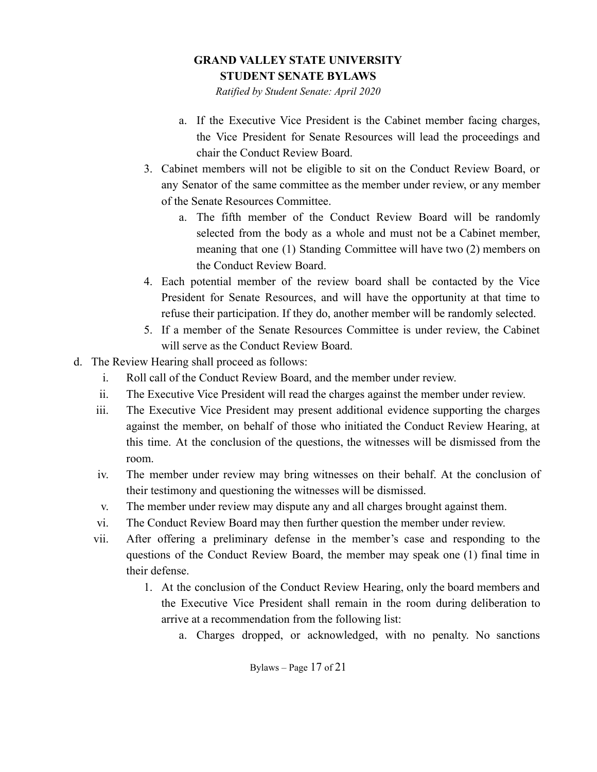*Ratified by Student Senate: April 2020*

- a. If the Executive Vice President is the Cabinet member facing charges, the Vice President for Senate Resources will lead the proceedings and chair the Conduct Review Board.
- 3. Cabinet members will not be eligible to sit on the Conduct Review Board, or any Senator of the same committee as the member under review, or any member of the Senate Resources Committee.
	- a. The fifth member of the Conduct Review Board will be randomly selected from the body as a whole and must not be a Cabinet member, meaning that one (1) Standing Committee will have two (2) members on the Conduct Review Board.
- 4. Each potential member of the review board shall be contacted by the Vice President for Senate Resources, and will have the opportunity at that time to refuse their participation. If they do, another member will be randomly selected.
- 5. If a member of the Senate Resources Committee is under review, the Cabinet will serve as the Conduct Review Board.
- d. The Review Hearing shall proceed as follows:
	- i. Roll call of the Conduct Review Board, and the member under review.
	- ii. The Executive Vice President will read the charges against the member under review.
	- iii. The Executive Vice President may present additional evidence supporting the charges against the member, on behalf of those who initiated the Conduct Review Hearing, at this time. At the conclusion of the questions, the witnesses will be dismissed from the room.
	- iv. The member under review may bring witnesses on their behalf. At the conclusion of their testimony and questioning the witnesses will be dismissed.
	- v. The member under review may dispute any and all charges brought against them.
	- vi. The Conduct Review Board may then further question the member under review.
	- vii. After offering a preliminary defense in the member's case and responding to the questions of the Conduct Review Board, the member may speak one (1) final time in their defense.
		- 1. At the conclusion of the Conduct Review Hearing, only the board members and the Executive Vice President shall remain in the room during deliberation to arrive at a recommendation from the following list:
			- a. Charges dropped, or acknowledged, with no penalty. No sanctions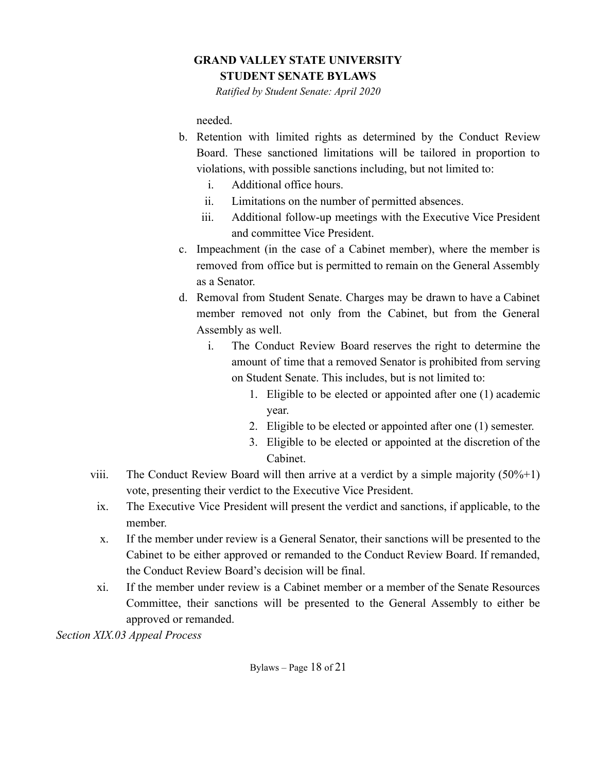*Ratified by Student Senate: April 2020*

needed.

- b. Retention with limited rights as determined by the Conduct Review Board. These sanctioned limitations will be tailored in proportion to violations, with possible sanctions including, but not limited to:
	- i. Additional office hours.
	- ii. Limitations on the number of permitted absences.
	- iii. Additional follow-up meetings with the Executive Vice President and committee Vice President.
- c. Impeachment (in the case of a Cabinet member), where the member is removed from office but is permitted to remain on the General Assembly as a Senator.
- d. Removal from Student Senate. Charges may be drawn to have a Cabinet member removed not only from the Cabinet, but from the General Assembly as well.
	- i. The Conduct Review Board reserves the right to determine the amount of time that a removed Senator is prohibited from serving on Student Senate. This includes, but is not limited to:
		- 1. Eligible to be elected or appointed after one (1) academic year.
		- 2. Eligible to be elected or appointed after one (1) semester.
		- 3. Eligible to be elected or appointed at the discretion of the Cabinet.
- viii. The Conduct Review Board will then arrive at a verdict by a simple majority  $(50\% + 1)$ vote, presenting their verdict to the Executive Vice President.
	- ix. The Executive Vice President will present the verdict and sanctions, if applicable, to the member.
	- x. If the member under review is a General Senator, their sanctions will be presented to the Cabinet to be either approved or remanded to the Conduct Review Board. If remanded, the Conduct Review Board's decision will be final.
- xi. If the member under review is a Cabinet member or a member of the Senate Resources Committee, their sanctions will be presented to the General Assembly to either be approved or remanded.

*Section XIX.03 Appeal Process*

Bylaws – Page 18 of 21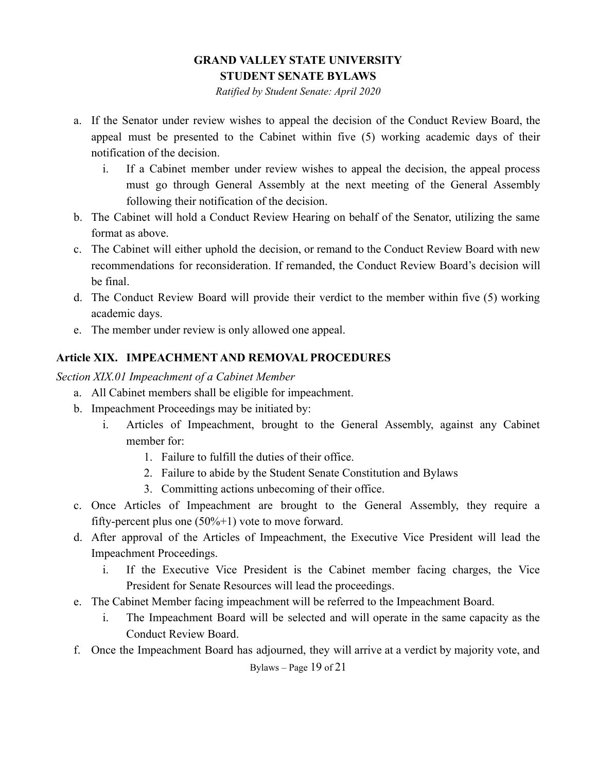*Ratified by Student Senate: April 2020*

- a. If the Senator under review wishes to appeal the decision of the Conduct Review Board, the appeal must be presented to the Cabinet within five (5) working academic days of their notification of the decision.
	- i. If a Cabinet member under review wishes to appeal the decision, the appeal process must go through General Assembly at the next meeting of the General Assembly following their notification of the decision.
- b. The Cabinet will hold a Conduct Review Hearing on behalf of the Senator, utilizing the same format as above.
- c. The Cabinet will either uphold the decision, or remand to the Conduct Review Board with new recommendations for reconsideration. If remanded, the Conduct Review Board's decision will be final.
- d. The Conduct Review Board will provide their verdict to the member within five (5) working academic days.
- e. The member under review is only allowed one appeal.

### <span id="page-18-0"></span>**Article XIX. IMPEACHMENT AND REMOVAL PROCEDURES**

*Section XIX.01 Impeachment of a Cabinet Member*

- a. All Cabinet members shall be eligible for impeachment.
- b. Impeachment Proceedings may be initiated by:
	- i. Articles of Impeachment, brought to the General Assembly, against any Cabinet member for:
		- 1. Failure to fulfill the duties of their office.
		- 2. Failure to abide by the Student Senate Constitution and Bylaws
		- 3. Committing actions unbecoming of their office.
- c. Once Articles of Impeachment are brought to the General Assembly, they require a fifty-percent plus one  $(50\% + 1)$  vote to move forward.
- d. After approval of the Articles of Impeachment, the Executive Vice President will lead the Impeachment Proceedings.
	- i. If the Executive Vice President is the Cabinet member facing charges, the Vice President for Senate Resources will lead the proceedings.
- e. The Cabinet Member facing impeachment will be referred to the Impeachment Board.
	- i. The Impeachment Board will be selected and will operate in the same capacity as the Conduct Review Board.
- f. Once the Impeachment Board has adjourned, they will arrive at a verdict by majority vote, and

Bylaws – Page 19 of 21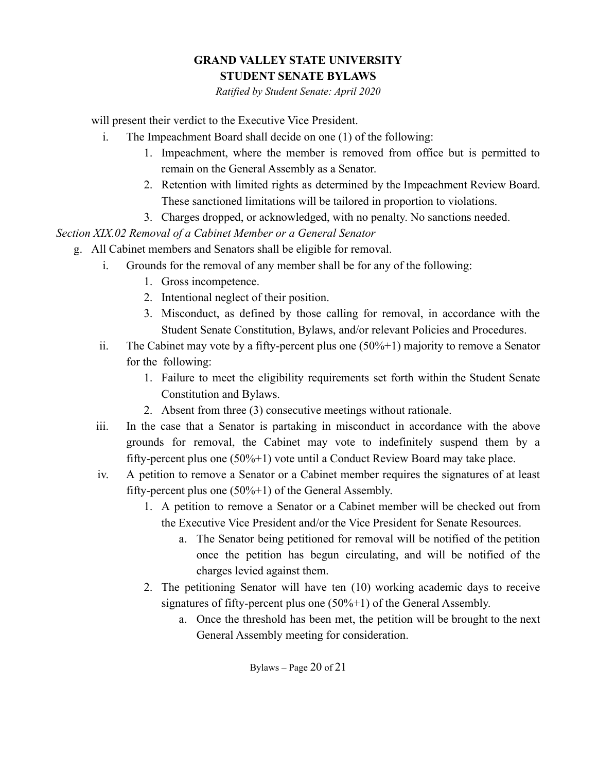*Ratified by Student Senate: April 2020*

will present their verdict to the Executive Vice President.

- i. The Impeachment Board shall decide on one (1) of the following:
	- 1. Impeachment, where the member is removed from office but is permitted to remain on the General Assembly as a Senator.
	- 2. Retention with limited rights as determined by the Impeachment Review Board. These sanctioned limitations will be tailored in proportion to violations.
	- 3. Charges dropped, or acknowledged, with no penalty. No sanctions needed.

*Section XIX.02 Removal of a Cabinet Member or a General Senator*

- g. All Cabinet members and Senators shall be eligible for removal.
	- i. Grounds for the removal of any member shall be for any of the following:
		- 1. Gross incompetence.
		- 2. Intentional neglect of their position.
		- 3. Misconduct, as defined by those calling for removal, in accordance with the Student Senate Constitution, Bylaws, and/or relevant Policies and Procedures.
	- ii. The Cabinet may vote by a fifty-percent plus one (50%+1) majority to remove a Senator for the following:
		- 1. Failure to meet the eligibility requirements set forth within the Student Senate Constitution and Bylaws.
		- 2. Absent from three (3) consecutive meetings without rationale.
	- iii. In the case that a Senator is partaking in misconduct in accordance with the above grounds for removal, the Cabinet may vote to indefinitely suspend them by a fifty-percent plus one (50%+1) vote until a Conduct Review Board may take place.
	- iv. A petition to remove a Senator or a Cabinet member requires the signatures of at least fifty-percent plus one  $(50\% + 1)$  of the General Assembly.
		- 1. A petition to remove a Senator or a Cabinet member will be checked out from the Executive Vice President and/or the Vice President for Senate Resources.
			- a. The Senator being petitioned for removal will be notified of the petition once the petition has begun circulating, and will be notified of the charges levied against them.
		- 2. The petitioning Senator will have ten (10) working academic days to receive signatures of fifty-percent plus one (50%+1) of the General Assembly.
			- a. Once the threshold has been met, the petition will be brought to the next General Assembly meeting for consideration.